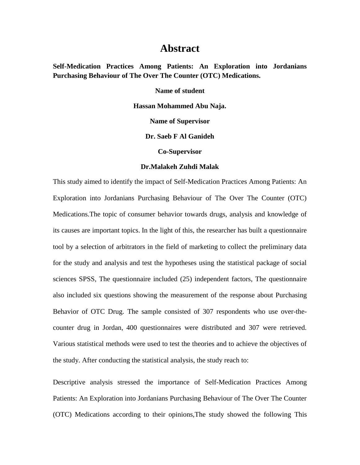## **Abstract**

**Self-Medication Practices Among Patients: An Exploration into Jordanians Purchasing Behaviour of The Over The Counter (OTC) Medications.**

**Name of student** 

**Hassan Mohammed Abu Naja.**

**Name of Supervisor**

**Dr. Saeb F Al Ganideh**

**Co-Supervisor**

## **Dr.Malakeh Zuhdi Malak**

This study aimed to identify the impact of Self-Medication Practices Among Patients: An Exploration into Jordanians Purchasing Behaviour of The Over The Counter (OTC) Medications.The topic of consumer behavior towards drugs, analysis and knowledge of its causes are important topics. In the light of this, the researcher has built a questionnaire tool by a selection of arbitrators in the field of marketing to collect the preliminary data for the study and analysis and test the hypotheses using the statistical package of social sciences SPSS, The questionnaire included (25) independent factors, The questionnaire also included six questions showing the measurement of the response about Purchasing Behavior of OTC Drug. The sample consisted of 307 respondents who use over-thecounter drug in Jordan, 400 questionnaires were distributed and 307 were retrieved. Various statistical methods were used to test the theories and to achieve the objectives of the study. After conducting the statistical analysis, the study reach to:

Descriptive analysis stressed the importance of Self-Medication Practices Among Patients: An Exploration into Jordanians Purchasing Behaviour of The Over The Counter (OTC) Medications according to their opinions,The study showed the following This